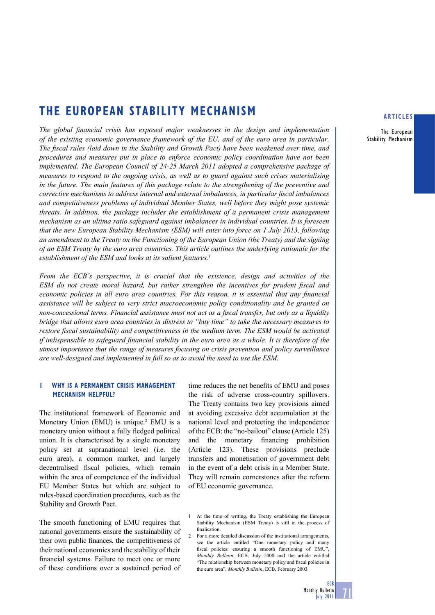# **THE EUROPEAN STABILITY MECHANISM**

*The global financial crisis has exposed major weaknesses in the design and implementation of the existing economic governance framework of the EU, and of the euro area in particular. The fiscal rules (laid down in the Stability and Growth Pact) have been weakened over time, and procedures and measures put in place to enforce economic policy coordination have not been*  implemented. The European Council of 24-25 March 2011 adopted a comprehensive package of *measures to respond to the ongoing crisis, as well as to guard against such crises materialising in the future. The main features of this package relate to the strengthening of the preventive and corrective mechanisms to address internal and external imbalances, in particular fiscal imbalances and competitiveness problems of individual Member States, well before they might pose systemic threats. In addition, the package includes the establishment of a permanent crisis management mechanism as an ultima ratio safeguard against imbalances in individual countries. It is foreseen that the new European Stability Mechanism (ESM) will enter into force on 1 July 2013, following an amendment to the Treaty on the Functioning of the European Union (the Treaty) and the signing of an ESM Treaty by the euro area countries. This article outlines the underlying rationale for the establishment of the ESM and looks at its salient features.1*

*From the ECB´s perspective, it is crucial that the existence, design and activities of the ESM do not create moral hazard, but rather strengthen the incentives for prudent fiscal and economic policies in all euro area countries. For this reason, it is essential that any financial assistance will be subject to very strict macroeconomic policy conditionality and be granted on non-concessional terms. Financial assistance must not act as a fiscal transfer, but only as a liquidity bridge that allows euro area countries in distress to "buy time" to take the necessary measures to*  restore fiscal sustainability and competitiveness in the medium term. The ESM would be activated *if indispensable to safeguard financial stability in the euro area as a whole. It is therefore of the utmost importance that the range of measures focusing on crisis prevention and policy surveillance are well-designed and implemented in full so as to avoid the need to use the ESM.*

## **1 WHY IS A PERMANENT CRISIS MANAGEMENT MECHANISM HELPFUL?**

The institutional framework of Economic and Monetary Union (EMU) is unique.<sup>2</sup> EMU is a monetary union without a fully fledged political union. It is characterised by a single monetary policy set at supranational level (i.e. the euro area), a common market, and largely decentralised fiscal policies, which remain within the area of competence of the individual EU Member States but which are subject to rules-based coordination procedures, such as the Stability and Growth Pact.

The smooth functioning of EMU requires that national governments ensure the sustainability of their own public finances, the competitiveness of their national economies and the stability of their financial systems. Failure to meet one or more of these conditions over a sustained period of

time reduces the net benefits of EMU and poses the risk of adverse cross-country spillovers. The Treaty contains two key provisions aimed at avoiding excessive debt accumulation at the national level and protecting the independence of the ECB: the "no-bailout" clause (Article 125) and the monetary financing prohibition (Article 123). These provisions preclude transfers and monetisation of government debt in the event of a debt crisis in a Member State. They will remain cornerstones after the reform of EU economic governance.

2 For a more detailed discussion of the institutional arrangements, see the article entitled "One monetary policy and many fiscal policies: ensuring a smooth functioning of EMU' *Monthly Bulletin*, ECB, July 2008 and the article entitled "The relationship between monetary policy and fiscal policies in the euro area", *Monthly Bulletin*, ECB, February 2003.

#### **ARTICLES**

The European Stability Mechanism



<sup>1</sup> At the time of writing, the Treaty establishing the European Stability Mechanism (ESM Treaty) is still in the process of finalisation.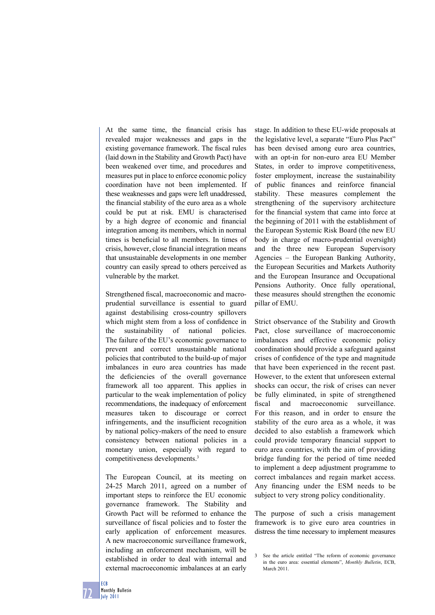At the same time, the financial crisis has revealed major weaknesses and gaps in the existing governance framework. The fiscal rules (laid down in the Stability and Growth Pact) have been weakened over time, and procedures and measures put in place to enforce economic policy coordination have not been implemented. If these weaknesses and gaps were left unaddressed, the financial stability of the euro area as a whole could be put at risk. EMU is characterised by a high degree of economic and financial integration among its members, which in normal times is beneficial to all members. In times of crisis, however, close financial integration means that unsustainable developments in one member country can easily spread to others perceived as vulnerable by the market.

Strengthened fiscal, macroeconomic and macroprudential surveillance is essential to guard against destabilising cross-country spillovers which might stem from a loss of confidence in the sustainability of national policies. The failure of the EU's economic governance to prevent and correct unsustainable national policies that contributed to the build-up of major imbalances in euro area countries has made the deficiencies of the overall governance framework all too apparent. This applies in particular to the weak implementation of policy recommendations, the inadequacy of enforcement measures taken to discourage or correct infringements, and the insufficient recognition by national policy-makers of the need to ensure consistency between national policies in a monetary union, especially with regard to competitiveness developments.3

The European Council, at its meeting on 24-25 March 2011, agreed on a number of important steps to reinforce the EU economic governance framework. The Stability and Growth Pact will be reformed to enhance the surveillance of fiscal policies and to foster the early application of enforcement measures. A new macroeconomic surveillance framework, including an enforcement mechanism, will be established in order to deal with internal and external macroeconomic imbalances at an early

stage. In addition to these EU-wide proposals at the legislative level, a separate "Euro Plus Pact" has been devised among euro area countries, with an opt-in for non-euro area EU Member States, in order to improve competitiveness, foster employment, increase the sustainability of public finances and reinforce financial stability. These measures complement the strengthening of the supervisory architecture for the financial system that came into force at the beginning of 2011 with the establishment of the European Systemic Risk Board (the new EU body in charge of macro-prudential oversight) and the three new European Supervisory Agencies – the European Banking Authority, the European Securities and Markets Authority and the European Insurance and Occupational Pensions Authority. Once fully operational, these measures should strengthen the economic pillar of EMU.

Strict observance of the Stability and Growth Pact, close surveillance of macroeconomic imbalances and effective economic policy coordination should provide a safeguard against crises of confidence of the type and magnitude that have been experienced in the recent past. However, to the extent that unforeseen external shocks can occur, the risk of crises can never be fully eliminated, in spite of strengthened fiscal and macroeconomic surveillance. For this reason, and in order to ensure the stability of the euro area as a whole, it was decided to also establish a framework which could provide temporary financial support to euro area countries, with the aim of providing bridge funding for the period of time needed to implement a deep adjustment programme to correct imbalances and regain market access. Any financing under the ESM needs to be subject to very strong policy conditionality.

The purpose of such a crisis management framework is to give euro area countries in distress the time necessary to implement measures

<sup>3</sup> See the article entitled "The reform of economic governance in the euro area: essential elements", *Monthly Bulletin*, ECB, March 2011.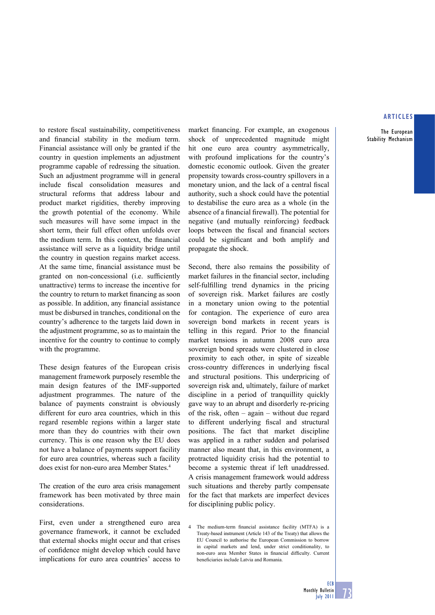The European Stability Mechanism

to restore fiscal sustainability, competitiveness and financial stability in the medium term. Financial assistance will only be granted if the country in question implements an adjustment programme capable of redressing the situation. Such an adjustment programme will in general include fiscal consolidation measures and structural reforms that address labour and product market rigidities, thereby improving the growth potential of the economy. While such measures will have some impact in the short term, their full effect often unfolds over the medium term. In this context, the financial assistance will serve as a liquidity bridge until the country in question regains market access. At the same time, financial assistance must be granted on non-concessional (i.e. sufficiently unattractive) terms to increase the incentive for the country to return to market financing as soon as possible. In addition, any financial assistance must be disbursed in tranches, conditional on the country's adherence to the targets laid down in the adjustment programme, so as to maintain the incentive for the country to continue to comply with the programme.

These design features of the European crisis management framework purposely resemble the main design features of the IMF-supported adjustment programmes. The nature of the balance of payments constraint is obviously different for euro area countries, which in this regard resemble regions within a larger state more than they do countries with their own currency. This is one reason why the EU does not have a balance of payments support facility for euro area countries, whereas such a facility does exist for non-euro area Member States.4

The creation of the euro area crisis management framework has been motivated by three main considerations.

First, even under a strengthened euro area governance framework, it cannot be excluded that external shocks might occur and that crises of confidence might develop which could have implications for euro area countries' access to market financing. For example, an exogenous shock of unprecedented magnitude might hit one euro area country asymmetrically, with profound implications for the country's domestic economic outlook. Given the greater propensity towards cross-country spillovers in a monetary union, and the lack of a central fiscal authority, such a shock could have the potential to destabilise the euro area as a whole (in the absence of a financial firewall). The potential for negative (and mutually reinforcing) feedback loops between the fiscal and financial sectors could be significant and both amplify and propagate the shock.

Second, there also remains the possibility of market failures in the financial sector, including self-fulfilling trend dynamics in the pricing of sovereign risk. Market failures are costly in a monetary union owing to the potential for contagion. The experience of euro area sovereign bond markets in recent years is telling in this regard. Prior to the financial market tensions in autumn 2008 euro area sovereign bond spreads were clustered in close proximity to each other, in spite of sizeable cross-country differences in underlying fiscal and structural positions. This underpricing of sovereign risk and, ultimately, failure of market discipline in a period of tranquillity quickly gave way to an abrupt and disorderly re-pricing of the risk, often – again – without due regard to different underlying fiscal and structural positions. The fact that market discipline was applied in a rather sudden and polarised manner also meant that, in this environment, a protracted liquidity crisis had the potential to become a systemic threat if left unaddressed. A crisis management framework would address such situations and thereby partly compensate for the fact that markets are imperfect devices for disciplining public policy.

4 The medium-term financial assistance facility (MTFA) is a Treaty-based instrument (Article 143 of the Treaty) that allows the EU Council to authorise the European Commission to borrow in capital markets and lend, under strict conditionality, to non-euro area Member States in financial difficulty. Current beneficiaries include Latvia and Romania.

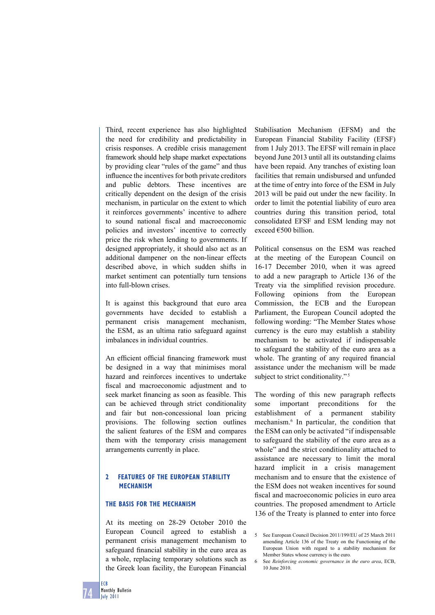Third, recent experience has also highlighted the need for credibility and predictability in crisis responses. A credible crisis management framework should help shape market expectations by providing clear "rules of the game" and thus influence the incentives for both private creditors and public debtors. These incentives are critically dependent on the design of the crisis mechanism, in particular on the extent to which it reinforces governments' incentive to adhere to sound national fiscal and macroeconomic policies and investors' incentive to correctly price the risk when lending to governments. If designed appropriately, it should also act as an additional dampener on the non-linear effects described above, in which sudden shifts in market sentiment can potentially turn tensions into full-blown crises.

It is against this background that euro area governments have decided to establish a permanent crisis management mechanism, the ESM, as an ultima ratio safeguard against imbalances in individual countries.

An efficient official financing framework must be designed in a way that minimises moral hazard and reinforces incentives to undertake fiscal and macroeconomic adjustment and to seek market financing as soon as feasible. This can be achieved through strict conditionality and fair but non-concessional loan pricing provisions. The following section outlines the salient features of the ESM and compares them with the temporary crisis management arrangements currently in place.

# **2 FEATURES OF THE EUROPEAN STABILITY MECHANISM**

## **THE BASIS FOR THE MECHANISM**

At its meeting on 28-29 October 2010 the European Council agreed to establish a permanent crisis management mechanism to safeguard financial stability in the euro area as a whole, replacing temporary solutions such as the Greek loan facility, the European Financial

Stabilisation Mechanism (EFSM) and the European Financial Stability Facility (EFSF) from 1 July 2013. The EFSF will remain in place beyond June 2013 until all its outstanding claims have been repaid. Any tranches of existing loan facilities that remain undisbursed and unfunded at the time of entry into force of the ESM in July 2013 will be paid out under the new facility. In order to limit the potential liability of euro area countries during this transition period, total consolidated EFSF and ESM lending may not exceed €500 billion.

Political consensus on the ESM was reached at the meeting of the European Council on 16-17 December 2010, when it was agreed to add a new paragraph to Article 136 of the Treaty via the simplified revision procedure. Following opinions from the European Commission, the ECB and the European Parliament, the European Council adopted the following wording: "The Member States whose currency is the euro may establish a stability mechanism to be activated if indispensable to safeguard the stability of the euro area as a whole. The granting of any required financial assistance under the mechanism will be made subject to strict conditionality."<sup>5</sup>

The wording of this new paragraph reflects some important preconditions for the establishment of a permanent stability mechanism.6 In particular, the condition that the ESM can only be activated "if indispensable to safeguard the stability of the euro area as a whole" and the strict conditionality attached to assistance are necessary to limit the moral hazard implicit in a crisis management mechanism and to ensure that the existence of the ESM does not weaken incentives for sound fiscal and macroeconomic policies in euro area countries. The proposed amendment to Article 136 of the Treaty is planned to enter into force

74

<sup>5</sup> See European Council Decision 2011/199/EU of 25 March 2011 amending Article 136 of the Treaty on the Functioning of the European Union with regard to a stability mechanism for Member States whose currency is the euro*.*

See 6 *Reinforcing economic governance in the euro area*, ECB, 10 June 2010.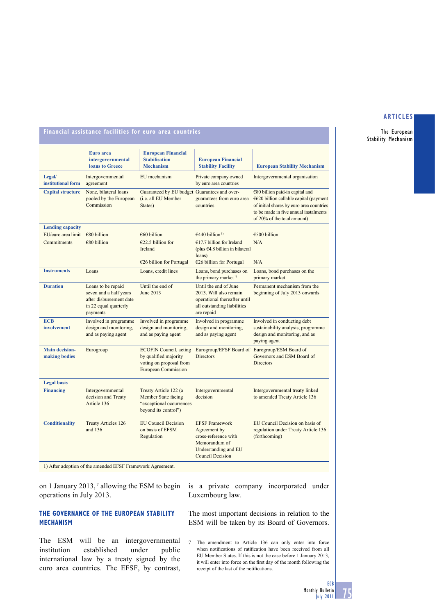The European Stability Mechanism

# **Financial assistance facilities for euro area countries**

|                                        | Euro area<br>intergovernmental<br><b>loans to Greece</b>                                                     | <b>European Financial</b><br><b>Stabilisation</b><br><b>Mechanism</b>                                            | <b>European Financial</b><br><b>Stability Facility</b>                                                                            | <b>European Stability Mechanism</b>                                                                                                                                                               |
|----------------------------------------|--------------------------------------------------------------------------------------------------------------|------------------------------------------------------------------------------------------------------------------|-----------------------------------------------------------------------------------------------------------------------------------|---------------------------------------------------------------------------------------------------------------------------------------------------------------------------------------------------|
| Legal/<br>institutional form           | Intergovernmental<br>agreement                                                                               | EU mechanism                                                                                                     | Private company owned<br>by euro area countries                                                                                   | Intergovernmental organisation                                                                                                                                                                    |
| <b>Capital structure</b>               | None, bilateral loans<br>pooled by the European<br>Commission                                                | Guaranteed by EU budget Guarantees and over-<br>(i.e. all EU Member<br>States)                                   | guarantees from euro area<br>countries                                                                                            | $€80$ billion paid-in capital and<br>$€620$ billion callable capital (payment<br>of initial shares by euro area countries<br>to be made in five annual instalments<br>of 20% of the total amount) |
| <b>Lending capacity</b>                |                                                                                                              |                                                                                                                  |                                                                                                                                   |                                                                                                                                                                                                   |
| EU/euro area limit                     | $€80$ billion                                                                                                | $\epsilon$ 60 billion                                                                                            | $\epsilon$ 440 billion <sup>1)</sup>                                                                                              | €500 billion                                                                                                                                                                                      |
| Commitments                            | €80 billion                                                                                                  | €22.5 billion for<br>Ireland                                                                                     | $€17.7$ billion for Ireland<br>(plus $64.8$ billion in bilateral<br>loans)                                                        | N/A                                                                                                                                                                                               |
|                                        |                                                                                                              | $€26$ billion for Portugal                                                                                       | $€26$ billion for Portugal                                                                                                        | N/A                                                                                                                                                                                               |
| <b>Instruments</b>                     | Loans                                                                                                        | Loans, credit lines                                                                                              | Loans, bond purchases on<br>the primary market <sup>1)</sup>                                                                      | Loans, bond purchases on the<br>primary market                                                                                                                                                    |
| <b>Duration</b>                        | Loans to be repaid<br>seven and a half years<br>after disbursement date<br>in 22 equal quarterly<br>payments | Until the end of<br>June 2013                                                                                    | Until the end of June<br>2013. Will also remain<br>operational thereafter until<br>all outstanding liabilities<br>are repaid      | Permanent mechanism from the<br>beginning of July 2013 onwards                                                                                                                                    |
| <b>ECB</b><br>involvement              | Involved in programme<br>design and monitoring.<br>and as paying agent                                       | Involved in programme<br>design and monitoring.<br>and as paying agent                                           | Involved in programme<br>design and monitoring.<br>and as paying agent                                                            | Involved in conducting debt<br>sustainability analysis, programme<br>design and monitoring, and as<br>paying agent                                                                                |
| <b>Main decision-</b><br>making bodies | Eurogroup                                                                                                    | <b>ECOFIN Council</b> , acting<br>by qualified majority<br>voting on proposal from<br><b>European Commission</b> | Eurogroup/EFSF Board of<br><b>Directors</b>                                                                                       | Eurogroup/ESM Board of<br>Governors and ESM Board of<br><b>Directors</b>                                                                                                                          |
| <b>Legal basis</b>                     |                                                                                                              |                                                                                                                  |                                                                                                                                   |                                                                                                                                                                                                   |
| <b>Financing</b>                       | Intergovernmental<br>decision and Treaty<br>Article 136                                                      | Treaty Article 122 (a<br>Member State facing<br>"exceptional occurrences<br>beyond its control")                 | Intergovernmental<br>decision                                                                                                     | Intergovernmental treaty linked<br>to amended Treaty Article 136                                                                                                                                  |
| <b>Conditionality</b>                  | <b>Treaty Articles 126</b><br>and 136                                                                        | <b>EU Council Decision</b><br>on basis of EFSM<br>Regulation                                                     | <b>EFSF</b> Framework<br>Agreement by<br>cross-reference with<br>Memorandum of<br>Understanding and EU<br><b>Council Decision</b> | EU Council Decision on basis of<br>regulation under Treaty Article 136<br>(forthcoming)                                                                                                           |

1) After adoption of the amended EFSF Framework Agreement.

on 1 January 2013,<sup>7</sup> allowing the ESM to begin operations in July 2013.

# **THE GOVERNANCE OF THE EUROPEAN STABILITY MECHANISM**

The ESM will be an intergovernmental institution established under public international law by a treaty signed by the euro area countries. The EFSF, by contrast,

is a private company incorporated under Luxembourg law.

The most important decisions in relation to the ESM will be taken by its Board of Governors.

7 The amendment to Article 136 can only enter into force when notifications of ratification have been received from all EU Member States. If this is not the case before 1 January 2013, it will enter into force on the first day of the month following the receipt of the last of the notifications.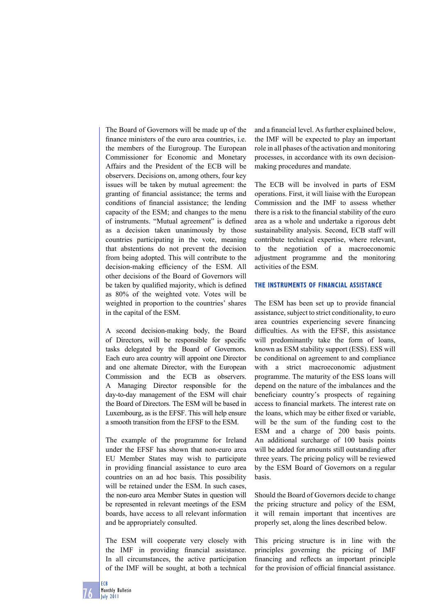The Board of Governors will be made up of the finance ministers of the euro area countries, i.e. the members of the Eurogroup. The European Commissioner for Economic and Monetary Affairs and the President of the ECB will be observers. Decisions on, among others, four key issues will be taken by mutual agreement: the granting of financial assistance; the terms and conditions of financial assistance; the lending capacity of the ESM; and changes to the menu of instruments. "Mutual agreement" is defined as a decision taken unanimously by those countries participating in the vote, meaning that abstentions do not prevent the decision from being adopted. This will contribute to the decision-making efficiency of the ESM. All other decisions of the Board of Governors will be taken by qualified majority, which is defined as 80% of the weighted vote. Votes will be weighted in proportion to the countries' shares in the capital of the ESM.

A second decision-making body, the Board of Directors, will be responsible for specific tasks delegated by the Board of Governors. Each euro area country will appoint one Director and one alternate Director, with the European Commission and the ECB as observers. A Managing Director responsible for the day-to-day management of the ESM will chair the Board of Directors. The ESM will be based in Luxembourg, as is the EFSF. This will help ensure a smooth transition from the EFSF to the ESM.

The example of the programme for Ireland under the EFSF has shown that non-euro area EU Member States may wish to participate in providing financial assistance to euro area countries on an ad hoc basis. This possibility will be retained under the ESM. In such cases, the non-euro area Member States in question will be represented in relevant meetings of the ESM boards, have access to all relevant information and be appropriately consulted.

The ESM will cooperate very closely with the IMF in providing financial assistance. In all circumstances, the active participation of the IMF will be sought, at both a technical

and a financial level. As further explained below, the IMF will be expected to play an important role in all phases of the activation and monitoring processes, in accordance with its own decisionmaking procedures and mandate.

The ECB will be involved in parts of ESM operations. First, it will liaise with the European Commission and the IMF to assess whether there is a risk to the financial stability of the euro area as a whole and undertake a rigorous debt sustainability analysis. Second, ECB staff will contribute technical expertise, where relevant, to the negotiation of a macroeconomic adjustment programme and the monitoring activities of the ESM.

## **THE INSTRUMENTS OF FINANCIAL ASSISTANCE**

The ESM has been set up to provide financial assistance, subject to strict conditionality, to euro area countries experiencing severe financing difficulties. As with the EFSF, this assistance will predominantly take the form of loans, known as ESM stability support (ESS). ESS will be conditional on agreement to and compliance with a strict macroeconomic adjustment programme. The maturity of the ESS loans will depend on the nature of the imbalances and the beneficiary country's prospects of regaining access to financial markets. The interest rate on the loans, which may be either fixed or variable, will be the sum of the funding cost to the ESM and a charge of 200 basis points. An additional surcharge of 100 basis points will be added for amounts still outstanding after three years. The pricing policy will be reviewed by the ESM Board of Governors on a regular basis.

Should the Board of Governors decide to change the pricing structure and policy of the ESM, it will remain important that incentives are properly set, along the lines described below.

This pricing structure is in line with the principles governing the pricing of IMF financing and reflects an important principle for the provision of official financial assistance.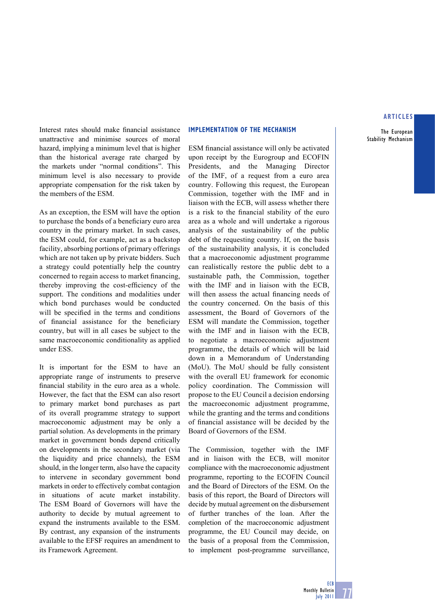The European Stability Mechanism

Interest rates should make financial assistance unattractive and minimise sources of moral hazard, implying a minimum level that is higher than the historical average rate charged by the markets under "normal conditions". This minimum level is also necessary to provide appropriate compensation for the risk taken by the members of the ESM.

As an exception, the ESM will have the option to purchase the bonds of a beneficiary euro area country in the primary market. In such cases, the ESM could, for example, act as a backstop facility, absorbing portions of primary offerings which are not taken up by private bidders. Such a strategy could potentially help the country concerned to regain access to market financing, thereby improving the cost-efficiency of the support. The conditions and modalities under which bond purchases would be conducted will be specified in the terms and conditions of financial assistance for the beneficiary country, but will in all cases be subject to the same macroeconomic conditionality as applied under ESS.

It is important for the ESM to have an appropriate range of instruments to preserve financial stability in the euro area as a whole. However, the fact that the ESM can also resort to primary market bond purchases as part of its overall programme strategy to support macroeconomic adjustment may be only a partial solution. As developments in the primary market in government bonds depend critically on developments in the secondary market (via the liquidity and price channels), the ESM should, in the longer term, also have the capacity to intervene in secondary government bond markets in order to effectively combat contagion in situations of acute market instability. The ESM Board of Governors will have the authority to decide by mutual agreement to expand the instruments available to the ESM. By contrast, any expansion of the instruments available to the EFSF requires an amendment to its Framework Agreement.

#### **IMPLEMENTATION OF THE MECHANISM**

ESM financial assistance will only be activated upon receipt by the Eurogroup and ECOFIN Presidents, and the Managing Director of the IMF, of a request from a euro area country. Following this request, the European Commission, together with the IMF and in liaison with the ECB, will assess whether there is a risk to the financial stability of the euro area as a whole and will undertake a rigorous analysis of the sustainability of the public debt of the requesting country. If, on the basis of the sustainability analysis, it is concluded that a macroeconomic adjustment programme can realistically restore the public debt to a sustainable path, the Commission, together with the IMF and in liaison with the ECB. will then assess the actual financing needs of the country concerned. On the basis of this assessment, the Board of Governors of the ESM will mandate the Commission, together with the IMF and in liaison with the ECB, to negotiate a macroeconomic adjustment programme, the details of which will be laid down in a Memorandum of Understanding (MoU). The MoU should be fully consistent with the overall EU framework for economic policy coordination. The Commission will propose to the EU Council a decision endorsing the macroeconomic adjustment programme, while the granting and the terms and conditions of financial assistance will be decided by the Board of Governors of the ESM.

The Commission, together with the IMF and in liaison with the ECB, will monitor compliance with the macroeconomic adjustment programme, reporting to the ECOFIN Council and the Board of Directors of the ESM. On the basis of this report, the Board of Directors will decide by mutual agreement on the disbursement of further tranches of the loan. After the completion of the macroeconomic adjustment programme, the EU Council may decide, on the basis of a proposal from the Commission, to implement post-programme surveillance,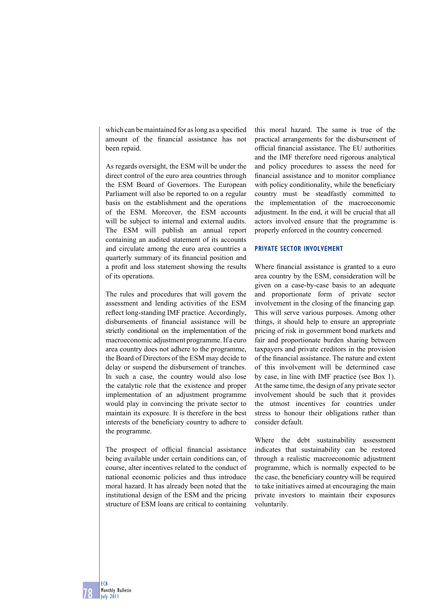which can be maintained for as long as a specified amount of the financial assistance has not been repaid.

As regards oversight, the ESM will be under the direct control of the euro area countries through the ESM Board of Governors. The European Parliament will also be reported to on a regular basis on the establishment and the operations of the ESM. Moreover, the ESM accounts will be subject to internal and external audits. The ESM will publish an annual report containing an audited statement of its accounts and circulate among the euro area countries a quarterly summary of its financial position and a profit and loss statement showing the results of its operations.

The rules and procedures that will govern the assessment and lending activities of the ESM reflect long-standing IMF practice. Accordingly, disbursements of financial assistance will be strictly conditional on the implementation of the macroeconomic adjustment programme. If a euro area country does not adhere to the programme, the Board of Directors of the ESM may decide to delay or suspend the disbursement of tranches. In such a case, the country would also lose the catalytic role that the existence and proper implementation of an adjustment programme would play in convincing the private sector to maintain its exposure. It is therefore in the best interests of the beneficiary country to adhere to the programme.

The prospect of official financial assistance being available under certain conditions can, of course, alter incentives related to the conduct of national economic policies and thus introduce moral hazard. It has already been noted that the institutional design of the ESM and the pricing structure of ESM loans are critical to containing

this moral hazard. The same is true of the practical arrangements for the disbursement of official financial assistance. The EU authorities and the IMF therefore need rigorous analytical and policy procedures to assess the need for financial assistance and to monitor compliance with policy conditionality, while the beneficiary country must be steadfastly committed to the implementation of the macroeconomic adjustment. In the end, it will be crucial that all actors involved ensure that the programme is properly enforced in the country concerned.

#### **PRIVATE SECTOR INVOLVEMENT**

Where financial assistance is granted to a euro area country by the ESM, consideration will be given on a case-by-case basis to an adequate and proportionate form of private sector involvement in the closing of the financing gap. This will serve various purposes. Among other things, it should help to ensure an appropriate pricing of risk in government bond markets and fair and proportionate burden sharing between taxpayers and private creditors in the provision of the financial assistance. The nature and extent of this involvement will be determined case by case, in line with IMF practice (see Box 1). At the same time, the design of any private sector involvement should be such that it provides the utmost incentives for countries under stress to honour their obligations rather than consider default.

Where the debt sustainability assessment indicates that sustainability can be restored through a realistic macroeconomic adjustment programme, which is normally expected to be the case, the beneficiary country will be required to take initiatives aimed at encouraging the main private investors to maintain their exposures voluntarily.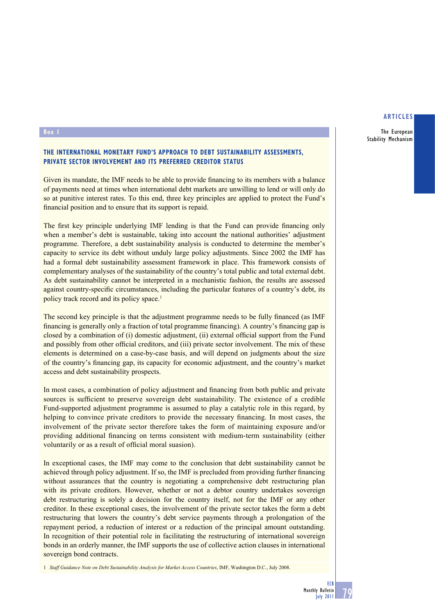The European Stability Mechanism

## **Box 1**

## **THE INTERNATIONAL MONETARY FUND'S APPROACH TO DEBT SUSTAINABILITY ASSESSMENTS, PRIVATE SECTOR INVOLVEMENT AND ITS PREFERRED CREDITOR STATUS**

Given its mandate, the IMF needs to be able to provide financing to its members with a balance of payments need at times when international debt markets are unwilling to lend or will only do so at punitive interest rates. To this end, three key principles are applied to protect the Fund's financial position and to ensure that its support is repaid.

The first key principle underlying IMF lending is that the Fund can provide financing only when a member's debt is sustainable, taking into account the national authorities' adjustment programme. Therefore, a debt sustainability analysis is conducted to determine the member's capacity to service its debt without unduly large policy adjustments. Since 2002 the IMF has had a formal debt sustainability assessment framework in place. This framework consists of complementary analyses of the sustainability of the country's total public and total external debt. As debt sustainability cannot be interpreted in a mechanistic fashion, the results are assessed against country-specific circumstances, including the particular features of a country's debt, its policy track record and its policy space.<sup>1</sup>

The second key principle is that the adjustment programme needs to be fully financed (as IMF financing is generally only a fraction of total programme financing). A country's financing gap is closed by a combination of (i) domestic adjustment, (ii) external official support from the Fund and possibly from other official creditors, and (iii) private sector involvement. The mix of these elements is determined on a case-by-case basis, and will depend on judgments about the size of the country's financing gap, its capacity for economic adjustment, and the country's market access and debt sustainability prospects.

In most cases, a combination of policy adjustment and financing from both public and private sources is sufficient to preserve sovereign debt sustainability. The existence of a credible Fund-supported adjustment programme is assumed to play a catalytic role in this regard, by helping to convince private creditors to provide the necessary financing. In most cases, the involvement of the private sector therefore takes the form of maintaining exposure and/or providing additional financing on terms consistent with medium-term sustainability (either voluntarily or as a result of official moral suasion).

In exceptional cases, the IMF may come to the conclusion that debt sustainability cannot be achieved through policy adjustment. If so, the IMF is precluded from providing further financing without assurances that the country is negotiating a comprehensive debt restructuring plan with its private creditors. However, whether or not a debtor country undertakes sovereign debt restructuring is solely a decision for the country itself, not for the IMF or any other creditor. In these exceptional cases, the involvement of the private sector takes the form a debt restructuring that lowers the country's debt service payments through a prolongation of the repayment period, a reduction of interest or a reduction of the principal amount outstanding. In recognition of their potential role in facilitating the restructuring of international sovereign bonds in an orderly manner, the IMF supports the use of collective action clauses in international sovereign bond contracts.

1 *Staff Guidance Note on Debt Sustainability Analysis for Market Access Countries*, IMF, Washington D.C., July 2008.

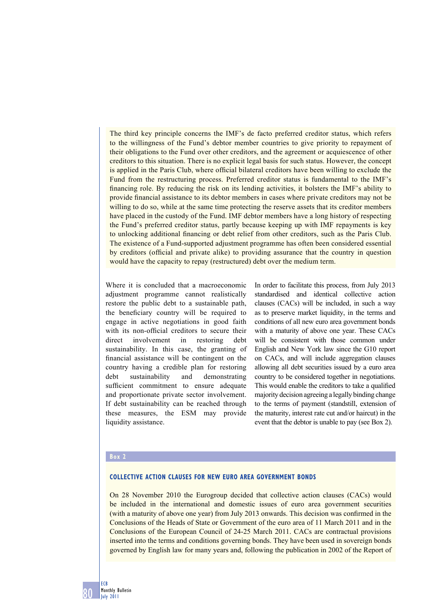The third key principle concerns the IMF's de facto preferred creditor status, which refers to the willingness of the Fund's debtor member countries to give priority to repayment of their obligations to the Fund over other creditors, and the agreement or acquiescence of other creditors to this situation. There is no explicit legal basis for such status. However, the concept is applied in the Paris Club, where official bilateral creditors have been willing to exclude the Fund from the restructuring process. Preferred creditor status is fundamental to the IMF's financing role. By reducing the risk on its lending activities, it bolsters the IMF's ability to provide financial assistance to its debtor members in cases where private creditors may not be willing to do so, while at the same time protecting the reserve assets that its creditor members have placed in the custody of the Fund. IMF debtor members have a long history of respecting the Fund's preferred creditor status, partly because keeping up with IMF repayments is key to unlocking additional financing or debt relief from other creditors, such as the Paris Club. The existence of a Fund-supported adjustment programme has often been considered essential by creditors (official and private alike) to providing assurance that the country in question would have the capacity to repay (restructured) debt over the medium term.

Where it is concluded that a macroeconomic adjustment programme cannot realistically restore the public debt to a sustainable path, the beneficiary country will be required to engage in active negotiations in good faith with its non-official creditors to secure their direct involvement in restoring debt sustainability. In this case, the granting of financial assistance will be contingent on the country having a credible plan for restoring debt sustainability and demonstrating sufficient commitment to ensure adequate and proportionate private sector involvement. If debt sustainability can be reached through these measures, the ESM may provide liquidity assistance.

In order to facilitate this process, from July 2013 standardised and identical collective action clauses (CACs) will be included, in such a way as to preserve market liquidity, in the terms and conditions of all new euro area government bonds with a maturity of above one year. These CACs will be consistent with those common under English and New York law since the G10 report on CACs, and will include aggregation clauses allowing all debt securities issued by a euro area country to be considered together in negotiations. This would enable the creditors to take a qualified majority decision agreeing a legally binding change to the terms of payment (standstill, extension of the maturity, interest rate cut and/or haircut) in the event that the debtor is unable to pay (see Box 2).

#### **Box 2**

#### **COLLECTIVE ACTION CLAUSES FOR NEW EURO AREA GOVERNMENT BONDS**

On 28 November 2010 the Eurogroup decided that collective action clauses (CACs) would be included in the international and domestic issues of euro area government securities (with a maturity of above one year) from July 2013 onwards. This decision was confirmed in the Conclusions of the Heads of State or Government of the euro area of 11 March 2011 and in the Conclusions of the European Council of 24-25 March 2011. CACs are contractual provisions inserted into the terms and conditions governing bonds. They have been used in sovereign bonds governed by English law for many years and, following the publication in 2002 of the Report of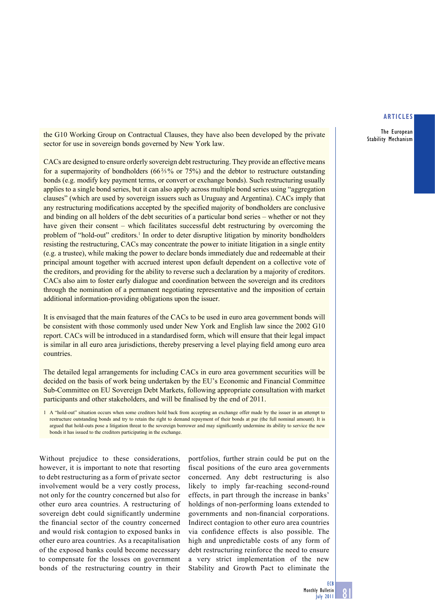The European Stability Mechanism

the G10 Working Group on Contractual Clauses, they have also been developed by the private sector for use in sovereign bonds governed by New York law.

CACs are designed to ensure orderly sovereign debt restructuring. They provide an effective means for a supermajority of bondholders (66%% or 75%) and the debtor to restructure outstanding bonds (e.g. modify key payment terms, or convert or exchange bonds). Such restructuring usually applies to a single bond series, but it can also apply across multiple bond series using "aggregation clauses" (which are used by sovereign issuers such as Uruguay and Argentina). CACs imply that any restructuring modifications accepted by the specified majority of bondholders are conclusive and binding on all holders of the debt securities of a particular bond series – whether or not they have given their consent – which facilitates successful debt restructuring by overcoming the problem of "hold-out" creditors.<sup>1</sup> In order to deter disruptive litigation by minority bondholders resisting the restructuring, CACs may concentrate the power to initiate litigation in a single entity (e.g. a trustee), while making the power to declare bonds immediately due and redeemable at their principal amount together with accrued interest upon default dependent on a collective vote of the creditors, and providing for the ability to reverse such a declaration by a majority of creditors. CACs also aim to foster early dialogue and coordination between the sovereign and its creditors through the nomination of a permanent negotiating representative and the imposition of certain additional information-providing obligations upon the issuer.

It is envisaged that the main features of the CACs to be used in euro area government bonds will be consistent with those commonly used under New York and English law since the 2002 G10 report. CACs will be introduced in a standardised form, which will ensure that their legal impact is similar in all euro area jurisdictions, thereby preserving a level playing field among euro area countries.

The detailed legal arrangements for including CACs in euro area government securities will be decided on the basis of work being undertaken by the EU's Economic and Financial Committee Sub-Committee on EU Sovereign Debt Markets, following appropriate consultation with market participants and other stakeholders, and will be finalised by the end of 2011.

1 A "hold-out" situation occurs when some creditors hold back from accepting an exchange offer made by the issuer in an attempt to restructure outstanding bonds and try to retain the right to demand repayment of their bonds at par (the full nominal amount). It is argued that hold-outs pose a litigation threat to the sovereign borrower and may significantly undermine its ability to service the new bonds it has issued to the creditors participating in the exchange.

Without prejudice to these considerations, however, it is important to note that resorting to debt restructuring as a form of private sector involvement would be a very costly process, not only for the country concerned but also for other euro area countries. A restructuring of sovereign debt could significantly undermine the financial sector of the country concerned and would risk contagion to exposed banks in other euro area countries. As a recapitalisation of the exposed banks could become necessary to compensate for the losses on government bonds of the restructuring country in their

portfolios, further strain could be put on the fiscal positions of the euro area governments concerned. Any debt restructuring is also likely to imply far-reaching second-round effects, in part through the increase in banks' holdings of non-performing loans extended to governments and non-financial corporations. Indirect contagion to other euro area countries via confidence effects is also possible. The high and unpredictable costs of any form of debt restructuring reinforce the need to ensure a very strict implementation of the new Stability and Growth Pact to eliminate the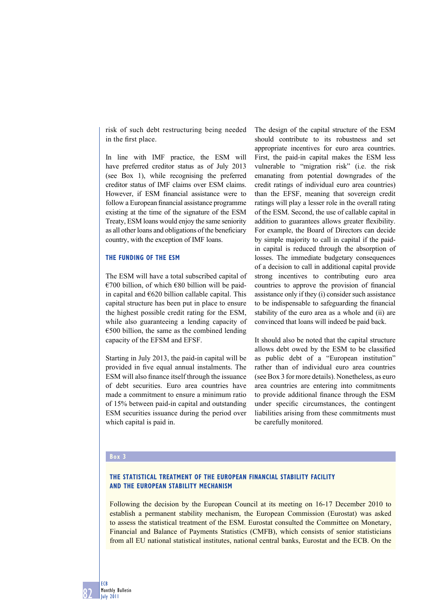risk of such debt restructuring being needed in the first place.

In line with IMF practice, the ESM will have preferred creditor status as of July 2013 (see Box 1), while recognising the preferred creditor status of IMF claims over ESM claims. However, if ESM financial assistance were to follow a European financial assistance programme existing at the time of the signature of the ESM Treaty, ESM loans would enjoy the same seniority as all other loans and obligations of the beneficiary country, with the exception of IMF loans.

# **THE FUNDING OF THE ESM**

The ESM will have a total subscribed capital of €700 billion, of which €80 billion will be paidin capital and  $E620$  billion callable capital. This capital structure has been put in place to ensure the highest possible credit rating for the ESM, while also guaranteeing a lending capacity of  $\epsilon$ 500 billion, the same as the combined lending capacity of the EFSM and EFSF.

Starting in July 2013, the paid-in capital will be provided in five equal annual instalments. The ESM will also finance itself through the issuance of debt securities. Euro area countries have made a commitment to ensure a minimum ratio of 15% between paid-in capital and outstanding ESM securities issuance during the period over which capital is paid in.

The design of the capital structure of the ESM should contribute to its robustness and set appropriate incentives for euro area countries. First, the paid-in capital makes the ESM less vulnerable to "migration risk" (i.e. the risk emanating from potential downgrades of the credit ratings of individual euro area countries) than the EFSF, meaning that sovereign credit ratings will play a lesser role in the overall rating of the ESM. Second, the use of callable capital in addition to guarantees allows greater flexibility. For example, the Board of Directors can decide by simple majority to call in capital if the paidin capital is reduced through the absorption of losses. The immediate budgetary consequences of a decision to call in additional capital provide strong incentives to contributing euro area countries to approve the provision of financial assistance only if they (i) consider such assistance to be indispensable to safeguarding the financial stability of the euro area as a whole and (ii) are convinced that loans will indeed be paid back.

It should also be noted that the capital structure allows debt owed by the ESM to be classified as public debt of a "European institution" rather than of individual euro area countries (see Box 3 for more details). Nonetheless, as euro area countries are entering into commitments to provide additional finance through the ESM under specific circumstances, the contingent liabilities arising from these commitments must be carefully monitored.

#### **Box 3**

# **THE STATISTICAL TREATMENT OF THE EUROPEAN FINANCIAL STABILITY FACILITY AND THE EUROPEAN STABILITY MECHANISM**

Following the decision by the European Council at its meeting on 16-17 December 2010 to establish a permanent stability mechanism, the European Commission (Eurostat) was asked to assess the statistical treatment of the ESM. Eurostat consulted the Committee on Monetary, Financial and Balance of Payments Statistics (CMFB), which consists of senior statisticians from all EU national statistical institutes, national central banks, Eurostat and the ECB. On the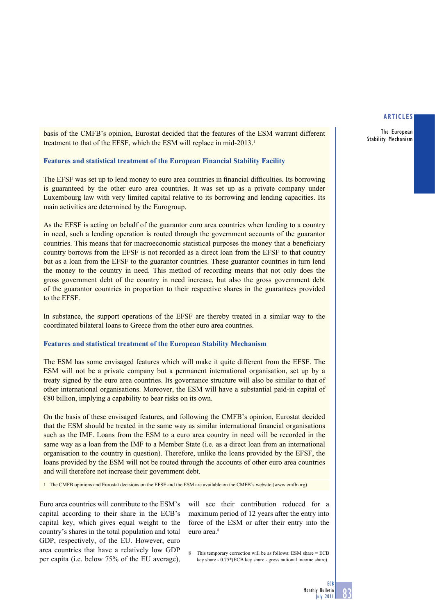The European Stability Mechanism

basis of the CMFB's opinion, Eurostat decided that the features of the ESM warrant different treatment to that of the EFSF, which the ESM will replace in mid-2013.<sup>1</sup>

#### **Features and statistical treatment of the European Financial Stability Facility**

The EFSF was set up to lend money to euro area countries in financial difficulties. Its borrowing is guaranteed by the other euro area countries. It was set up as a private company under Luxembourg law with very limited capital relative to its borrowing and lending capacities. Its main activities are determined by the Eurogroup.

As the EFSF is acting on behalf of the guarantor euro area countries when lending to a country in need, such a lending operation is routed through the government accounts of the guarantor countries. This means that for macroeconomic statistical purposes the money that a beneficiary country borrows from the EFSF is not recorded as a direct loan from the EFSF to that country but as a loan from the EFSF to the guarantor countries. These guarantor countries in turn lend the money to the country in need. This method of recording means that not only does the gross government debt of the country in need increase, but also the gross government debt of the guarantor countries in proportion to their respective shares in the guarantees provided to the EFSF.

In substance, the support operations of the EFSF are thereby treated in a similar way to the coordinated bilateral loans to Greece from the other euro area countries.

#### **Features and statistical treatment of the European Stability Mechanism**

The ESM has some envisaged features which will make it quite different from the EFSF. The ESM will not be a private company but a permanent international organisation, set up by a treaty signed by the euro area countries. Its governance structure will also be similar to that of other international organisations. Moreover, the ESM will have a substantial paid-in capital of  $€80$  billion, implying a capability to bear risks on its own.

On the basis of these envisaged features, and following the CMFB's opinion, Eurostat decided that the ESM should be treated in the same way as similar international financial organisations such as the IMF. Loans from the ESM to a euro area country in need will be recorded in the same way as a loan from the IMF to a Member State (i.e. as a direct loan from an international organisation to the country in question). Therefore, unlike the loans provided by the EFSF, the loans provided by the ESM will not be routed through the accounts of other euro area countries and will therefore not increase their government debt.

1 The CMFB opinions and Eurostat decisions on the EFSF and the ESM are available on the CMFB's website (www.cmfb.org).

Euro area countries will contribute to the ESM's capital according to their share in the ECB's capital key, which gives equal weight to the country's shares in the total population and total GDP, respectively, of the EU. However, euro area countries that have a relatively low GDP per capita (i.e. below 75% of the EU average),

will see their contribution reduced for a maximum period of 12 years after the entry into force of the ESM or after their entry into the euro area<sup>8</sup>

8 This temporary correction will be as follows: ESM share = ECB key share - 0.75\*(ECB key share - gross national income share).